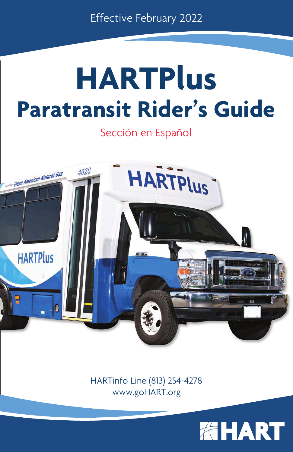Effective February 2022

# **HARTPlus Paratransit Rider's Guide**

Sección en Español



HARTinfo Line (813) 254-4278 www.goHART.org

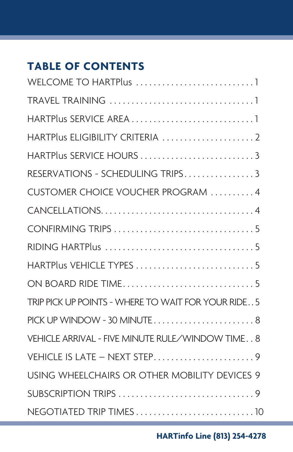# **TABLE OF CONTENTS**

| WELCOME TO HARTPlus 1                               |
|-----------------------------------------------------|
|                                                     |
|                                                     |
| HARTPlus ELIGIBILITY CRITERIA  2                    |
| HARTPlus SERVICE HOURS 3                            |
| RESERVATIONS - SCHEDULING TRIPS3                    |
| CUSTOMER CHOICE VOUCHER PROGRAM 4                   |
|                                                     |
|                                                     |
|                                                     |
| HARTPlus VEHICLE TYPES 5                            |
|                                                     |
| TRIP PICK UP POINTS - WHERE TO WAIT FOR YOUR RIDE 5 |
| PICK UP WINDOW - 30 MINUTE 8                        |
| VEHICLE ARRIVAL - FIVE MINUTE RULE/WINDOW TIME 8    |
| VEHICLE IS LATE - NEXT STEP9                        |
| USING WHEELCHAIRS OR OTHER MOBILITY DEVICES 9       |
|                                                     |
|                                                     |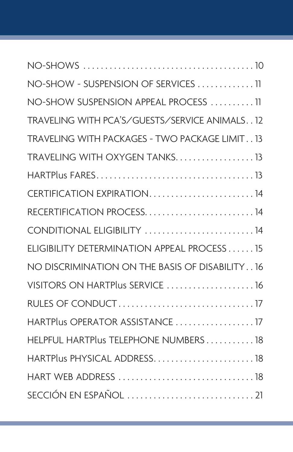| NO-SHOW - SUSPENSION OF SERVICES 11            |
|------------------------------------------------|
| NO-SHOW SUSPENSION APPEAL PROCESS 11           |
| TRAVELING WITH PCA'S/GUESTS/SERVICE ANIMALS12  |
| TRAVELING WITH PACKAGES - TWO PACKAGE LIMIT13  |
| TRAVELING WITH OXYGEN TANKS 13                 |
|                                                |
| CERTIFICATION EXPIRATION14                     |
| RECERTIFICATION PROCESS14                      |
| CONDITIONAL ELIGIBILITY 14                     |
| ELIGIBILITY DETERMINATION APPEAL PROCESS 15    |
| NO DISCRIMINATION ON THE BASIS OF DISABILITY16 |
| VISITORS ON HARTPlus SERVICE  16               |
|                                                |
| HARTPlus OPERATOR ASSISTANCE  17               |
| HELPFUL HARTPlus TELEPHONE NUMBERS 18          |
| HARTPlus PHYSICAL ADDRESS 18                   |
|                                                |
|                                                |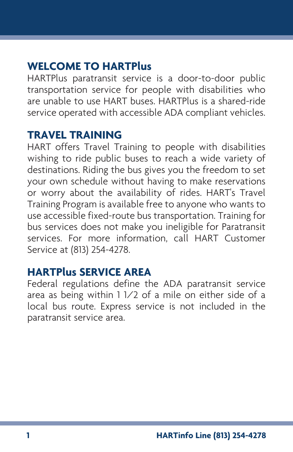# **WELCOME TO HARTPlus**

HARTPlus paratransit service is a door-to-door public transportation service for people with disabilities who are unable to use HART buses. HARTPlus is a shared-ride service operated with accessible ADA compliant vehicles.

#### **TRAVEL TRAINING**

HART offers Travel Training to people with disabilities wishing to ride public buses to reach a wide variety of destinations. Riding the bus gives you the freedom to set your own schedule without having to make reservations or worry about the availability of rides. HART's Travel Training Program is available free to anyone who wants to use accessible fixed-route bus transportation. Training for bus services does not make you ineligible for Paratransit services. For more information, call HART Customer Service at (813) 254-4278.

#### **HARTPlus SERVICE AREA**

Federal regulations define the ADA paratransit service area as being within 1 1/2 of a mile on either side of a local bus route. Express service is not included in the paratransit service area.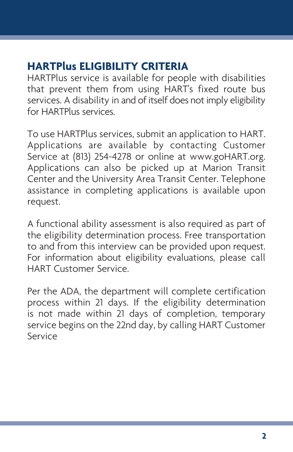# **HARTPlus ELIGIBILITY CRITERIA**

HARTPlus service is available for people with disabilities that prevent them from using HART's fixed route bus services. A disability in and of itself does not imply eligibility for HARTPlus services.

To use HARTPlus services, submit an application to HART. Applications are available by contacting Customer Service at (813) 254-4278 or online at www.goHART.org. Applications can also be picked up at Marion Transit Center and the University Area Transit Center. Telephone assistance in completing applications is available upon request.

A functional ability assessment is also required as part of the eligibility determination process. Free transportation to and from this interview can be provided upon request. For information about eligibility evaluations, please call HART Customer Service.

Per the ADA, the department will complete certification process within 21 days. If the eligibility determination is not made within 21 days of completion, temporary service begins on the 22nd day, by calling HART Customer Service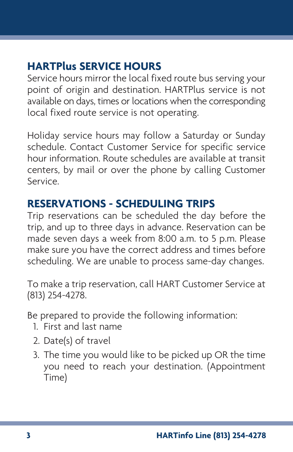# **HARTPlus SERVICE HOURS**

Service hours mirror the local fixed route bus serving your point of origin and destination. HARTPlus service is not available on days, times or locations when the corresponding local fixed route service is not operating.

Holiday service hours may follow a Saturday or Sunday schedule. Contact Customer Service for specific service hour information. Route schedules are available at transit centers, by mail or over the phone by calling Customer Service.

# **RESERVATIONS - SCHEDULING TRIPS**

Trip reservations can be scheduled the day before the trip, and up to three days in advance. Reservation can be made seven days a week from 8:00 a.m. to 5 p.m. Please make sure you have the correct address and times before scheduling. We are unable to process same-day changes.

To make a trip reservation, call HART Customer Service at (813) 254-4278.

Be prepared to provide the following information:

- 1. First and last name
- 2. Date(s) of travel
- 3. The time you would like to be picked up OR the time you need to reach your destination. (Appointment Time)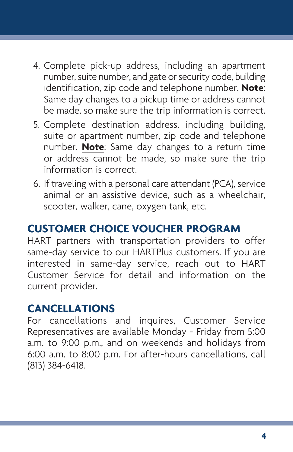- 4. Complete pick-up address, including an apartment number, suite number, and gate or security code, building identification, zip code and telephone number. **Note**: Same day changes to a pickup time or address cannot be made, so make sure the trip information is correct.
- 5. Complete destination address, including building, suite or apartment number, zip code and telephone number. **Note**: Same day changes to a return time or address cannot be made, so make sure the trip information is correct.
- 6. If traveling with a personal care attendant (PCA), service animal or an assistive device, such as a wheelchair, scooter, walker, cane, oxygen tank, etc.

# **CUSTOMER CHOICE VOUCHER PROGRAM**

HART partners with transportation providers to offer same-day service to our HARTPlus customers. If you are interested in same-day service, reach out to HART Customer Service for detail and information on the current provider.

## **CANCELLATIONS**

For cancellations and inquires, Customer Service Representatives are available Monday - Friday from 5:00 a.m. to 9:00 p.m., and on weekends and holidays from 6:00 a.m. to 8:00 p.m. For after-hours cancellations, call (813) 384-6418.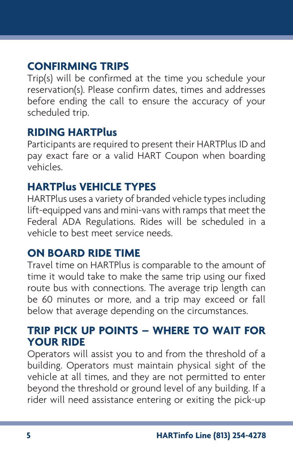# **CONFIRMING TRIPS**

Trip(s) will be confirmed at the time you schedule your reservation(s). Please confirm dates, times and addresses before ending the call to ensure the accuracy of your scheduled trip.

#### **RIDING HARTPlus**

Participants are required to present their HARTPlus ID and pay exact fare or a valid HART Coupon when boarding vehicles.

## **HARTPlus VEHICLE TYPES**

HARTPlus uses a variety of branded vehicle types including lift-equipped vans and mini-vans with ramps that meet the Federal ADA Regulations. Rides will be scheduled in a vehicle to best meet service needs.

## **ON BOARD RIDE TIME**

Travel time on HARTPlus is comparable to the amount of time it would take to make the same trip using our fixed route bus with connections. The average trip length can be 60 minutes or more, and a trip may exceed or fall below that average depending on the circumstances.

## **TRIP PICK UP POINTS – WHERE TO WAIT FOR YOUR RIDE**

Operators will assist you to and from the threshold of a building. Operators must maintain physical sight of the vehicle at all times, and they are not permitted to enter beyond the threshold or ground level of any building. If a rider will need assistance entering or exiting the pick-up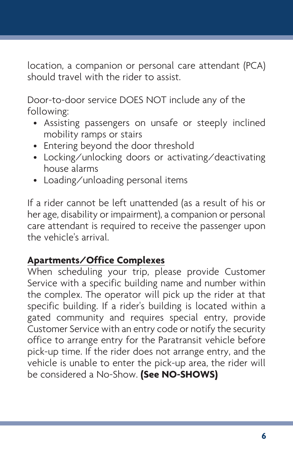location, a companion or personal care attendant (PCA) should travel with the rider to assist.

Door-to-door service DOES NOT include any of the following:

- Assisting passengers on unsafe or steeply inclined mobility ramps or stairs
- Entering beyond the door threshold
- Locking/unlocking doors or activating/deactivating house alarms
- Loading/unloading personal items

If a rider cannot be left unattended (as a result of his or her age, disability or impairment), a companion or personal care attendant is required to receive the passenger upon the vehicle's arrival.

## **Apartments/Office Complexes**

When scheduling your trip, please provide Customer Service with a specific building name and number within the complex. The operator will pick up the rider at that specific building. If a rider's building is located within a gated community and requires special entry, provide Customer Service with an entry code or notify the security office to arrange entry for the Paratransit vehicle before pick-up time. If the rider does not arrange entry, and the vehicle is unable to enter the pick-up area, the rider will be considered a No-Show. **(See NO-SHOWS)**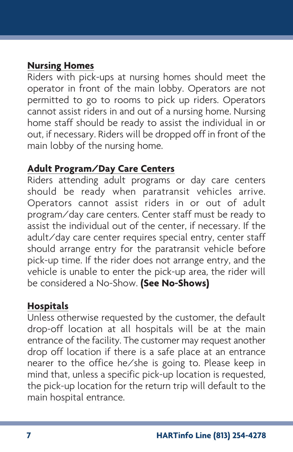#### **Nursing Homes**

Riders with pick-ups at nursing homes should meet the operator in front of the main lobby. Operators are not permitted to go to rooms to pick up riders. Operators cannot assist riders in and out of a nursing home. Nursing home staff should be ready to assist the individual in or out, if necessary. Riders will be dropped off in front of the main lobby of the nursing home.

#### **Adult Program/Day Care Centers**

Riders attending adult programs or day care centers should be ready when paratransit vehicles arrive. Operators cannot assist riders in or out of adult program/day care centers. Center staff must be ready to assist the individual out of the center, if necessary. If the adult/day care center requires special entry, center staff should arrange entry for the paratransit vehicle before pick-up time. If the rider does not arrange entry, and the vehicle is unable to enter the pick-up area, the rider will be considered a No-Show. **(See No-Shows)**

#### **Hospitals**

Unless otherwise requested by the customer, the default drop-off location at all hospitals will be at the main entrance of the facility. The customer may request another drop off location if there is a safe place at an entrance nearer to the office he/she is going to. Please keep in mind that, unless a specific pick-up location is requested, the pick-up location for the return trip will default to the main hospital entrance.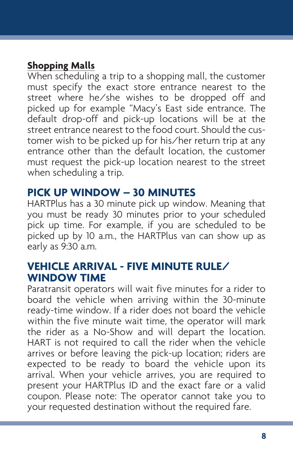## **Shopping Malls**

When scheduling a trip to a shopping mall, the customer must specify the exact store entrance nearest to the street where he/she wishes to be dropped off and picked up for example "Macy's East side entrance. The default drop-off and pick-up locations will be at the street entrance nearest to the food court. Should the customer wish to be picked up for his/her return trip at any entrance other than the default location, the customer must request the pick-up location nearest to the street when scheduling a trip.

#### **PICK UP WINDOW – 30 MINUTES**

HARTPlus has a 30 minute pick up window. Meaning that you must be ready 30 minutes prior to your scheduled pick up time. For example, if you are scheduled to be picked up by 10 a.m., the HARTPlus van can show up as early as 9:30 a.m.

#### **VEHICLE ARRIVAL - FIVE MINUTE RULE/ WINDOW TIME**

Paratransit operators will wait five minutes for a rider to board the vehicle when arriving within the 30-minute ready-time window. If a rider does not board the vehicle within the five minute wait time, the operator will mark the rider as a No-Show and will depart the location. HART is not required to call the rider when the vehicle arrives or before leaving the pick-up location; riders are expected to be ready to board the vehicle upon its arrival. When your vehicle arrives, you are required to present your HARTPlus ID and the exact fare or a valid coupon. Please note: The operator cannot take you to your requested destination without the required fare.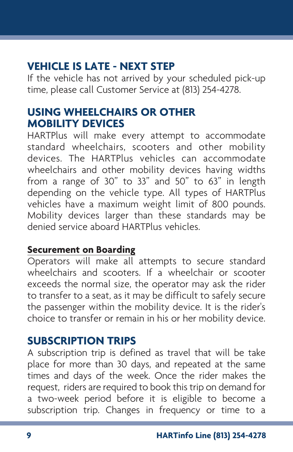# **VEHICLE IS LATE - NEXT STEP**

If the vehicle has not arrived by your scheduled pick-up time, please call Customer Service at (813) 254-4278.

## **USING WHEELCHAIRS OR OTHER MOBILITY DEVICES**

HARTPlus will make every attempt to accommodate standard wheelchairs, scooters and other mobility devices. The HARTPlus vehicles can accommodate wheelchairs and other mobility devices having widths from a range of 30" to 33" and 50" to 63" in length depending on the vehicle type. All types of HARTPlus vehicles have a maximum weight limit of 800 pounds. Mobility devices larger than these standards may be denied service aboard HARTPlus vehicles.

#### **Securement on Boarding**

Operators will make all attempts to secure standard wheelchairs and scooters. If a wheelchair or scooter exceeds the normal size, the operator may ask the rider to transfer to a seat, as it may be difficult to safely secure the passenger within the mobility device. It is the rider's choice to transfer or remain in his or her mobility device.

## **SUBSCRIPTION TRIPS**

A subscription trip is defined as travel that will be take place for more than 30 days, and repeated at the same times and days of the week. Once the rider makes the request, riders are required to book this trip on demand for a two-week period before it is eligible to become a subscription trip. Changes in frequency or time to a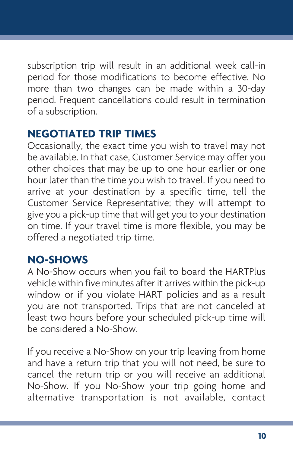subscription trip will result in an additional week call-in period for those modifications to become effective. No more than two changes can be made within a 30-day period. Frequent cancellations could result in termination of a subscription.

## **NEGOTIATED TRIP TIMES**

Occasionally, the exact time you wish to travel may not be available. In that case, Customer Service may offer you other choices that may be up to one hour earlier or one hour later than the time you wish to travel. If you need to arrive at your destination by a specific time, tell the Customer Service Representative; they will attempt to give you a pick-up time that will get you to your destination on time. If your travel time is more flexible, you may be offered a negotiated trip time.

# **NO-SHOWS**

A No-Show occurs when you fail to board the HARTPlus vehicle within five minutes after it arrives within the pick-up window or if you violate HART policies and as a result you are not transported. Trips that are not canceled at least two hours before your scheduled pick-up time will be considered a No-Show.

If you receive a No-Show on your trip leaving from home and have a return trip that you will not need, be sure to cancel the return trip or you will receive an additional No-Show. If you No-Show your trip going home and alternative transportation is not available, contact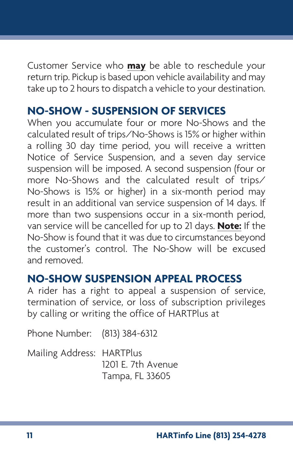Customer Service who **may** be able to reschedule your return trip. Pickup is based upon vehicle availability and may take up to 2 hours to dispatch a vehicle to your destination.

# **NO-SHOW - SUSPENSION OF SERVICES**

When you accumulate four or more No-Shows and the calculated result of trips/No-Shows is 15% or higher within a rolling 30 day time period, you will receive a written Notice of Service Suspension, and a seven day service suspension will be imposed. A second suspension (four or more No-Shows and the calculated result of trips/ No-Shows is 15% or higher) in a six-month period may result in an additional van service suspension of 14 days. If more than two suspensions occur in a six-month period, van service will be cancelled for up to 21 days. **Note:** If the No-Show is found that it was due to circumstances beyond the customer's control. The No-Show will be excused and removed.

# **NO-SHOW SUSPENSION APPEAL PROCESS**

A rider has a right to appeal a suspension of service, termination of service, or loss of subscription privileges by calling or writing the office of HARTPlus at

Phone Number: (813) 384-6312

Mailing Address: HARTPlus 1201 E. 7th Avenue Tampa, FL 33605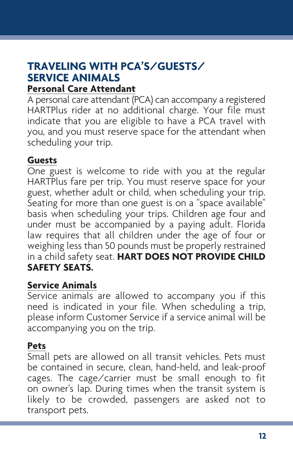#### **TRAVELING WITH PCA'S/GUESTS/ SERVICE ANIMALS Personal Care Attendant**

A personal care attendant (PCA) can accompany a registered HARTPlus rider at no additional charge. Your file must indicate that you are eligible to have a PCA travel with you, and you must reserve space for the attendant when scheduling your trip.

#### **Guests**

One guest is welcome to ride with you at the regular HARTPlus fare per trip. You must reserve space for your guest, whether adult or child, when scheduling your trip. Seating for more than one guest is on a "space available" basis when scheduling your trips. Children age four and under must be accompanied by a paying adult. Florida law requires that all children under the age of four or weighing less than 50 pounds must be properly restrained in a child safety seat. **HART DOES NOT PROVIDE CHILD SAFETY SEATS.** 

#### **Service Animals**

Service animals are allowed to accompany you if this need is indicated in your file. When scheduling a trip, please inform Customer Service if a service animal will be accompanying you on the trip.

#### **Pets**

Small pets are allowed on all transit vehicles. Pets must be contained in secure, clean, hand-held, and leak-proof cages. The cage/carrier must be small enough to fit on owner's lap. During times when the transit system is likely to be crowded, passengers are asked not to transport pets.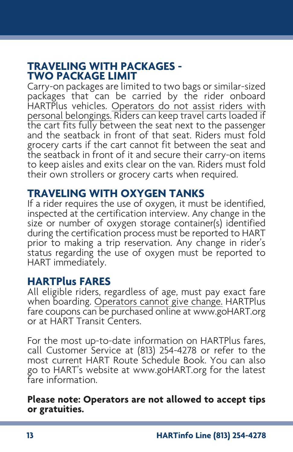#### **TRAVELING WITH PACKAGES - TWO PACKAGE LIMIT**

Carry-on packages are limited to two bags or similar-sized packages that can be carried by the rider onboard HARTPlus vehicles. Operators do not assist riders with personal belongings. Riders can keep travel carts loaded if the cart fits fully between the seat next to the passenger and the seatback in front of that seat. Riders must fold grocery carts if the cart cannot fit between the seat and the seatback in front of it and secure their carry-on items to keep aisles and exits clear on the van. Riders must fold their own strollers or grocery carts when required.

#### **TRAVELING WITH OXYGEN TANKS**

If a rider requires the use of oxygen, it must be identified, inspected at the certification interview. Any change in the size or number of oxygen storage container(s) identified during the certification process must be reported to HART prior to making a trip reservation. Any change in rider's status regarding the use of oxygen must be reported to HART immediately.

#### **HARTPlus FARES**

All eligible riders, regardless of age, must pay exact fare when boarding. Operators cannot give change. HARTPlus fare coupons can be purchased online at www.goHART.org or at HART Transit Centers.

For the most up-to-date information on HARTPlus fares, call Customer Service at (813) 254-4278 or refer to the most current HART Route Schedule Book. You can also go to HART's website at www.goHART.org for the latest fare information.

**Please note: Operators are not allowed to accept tips or gratuities.**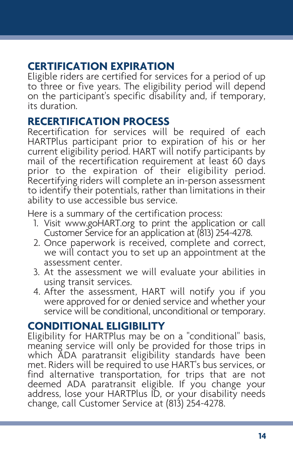# **CERTIFICATION EXPIRATION**

Eligible riders are certified for services for a period of up to three or five years. The eligibility period will depend on the participant's specific disability and, if temporary, its duration.

#### **RECERTIFICATION PROCESS**

Recertification for services will be required of each HARTPlus participant prior to expiration of his or her current eligibility period. HART will notify participants by mail of the recertification requirement at least 60 days prior to the expiration of their eligibility period. Recertifying riders will complete an in-person assessment to identify their potentials, rather than limitations in their ability to use accessible bus service.

Here is a summary of the certification process:

- 1. Visit www.goHART.org to print the application or call Customer Service for an application at (813) 254-4278.
- 2. Once paperwork is received, complete and correct, we will contact you to set up an appointment at the assessment center.
- 3. At the assessment we will evaluate your abilities in
- using transit services. 4. After the assessment, HART will notify you if you were approved for or denied service and whether your service will be conditional, unconditional or temporary.

## **CONDITIONAL ELIGIBILITY**

Eligibility for HARTPlus may be on a "conditional" basis, meaning service will only be provided for those trips in which ADA paratransit eligibility standards have been met. Riders will be required to use HART's bus services, or find alternative transportation, for trips that are not deemed ADA paratransit eligible. If you change your address, lose your HARTPlus ID, or your disability needs change, call Customer Service at (813) 254-4278.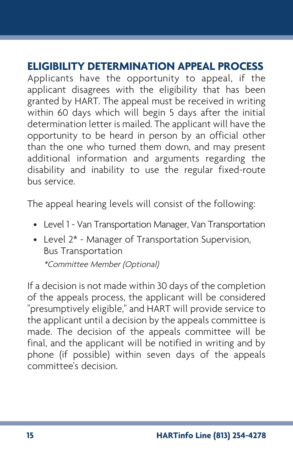# **ELIGIBILITY DETERMINATION APPEAL PROCESS**

Applicants have the opportunity to appeal, if the applicant disagrees with the eligibility that has been granted by HART. The appeal must be received in writing within 60 days which will begin 5 days after the initial determination letter is mailed. The applicant will have the opportunity to be heard in person by an official other than the one who turned them down, and may present additional information and arguments regarding the disability and inability to use the regular fixed-route bus service.

The appeal hearing levels will consist of the following:

- Level 1 Van Transportation Manager, Van Transportation
- Level 2\* Manager of Transportation Supervision, Bus Transportation

\*Committee Member (Optional)

If a decision is not made within 30 days of the completion of the appeals process, the applicant will be considered "presumptively eligible," and HART will provide service to the applicant until a decision by the appeals committee is made. The decision of the appeals committee will be final, and the applicant will be notified in writing and by phone (if possible) within seven days of the appeals committee's decision.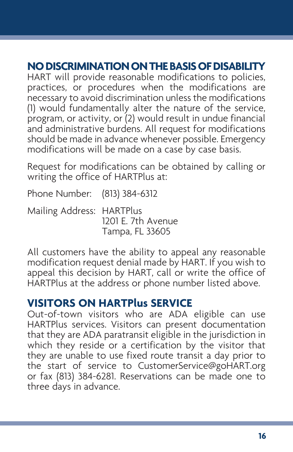# **NO DISCRIMINATION ON THE BASIS OF DISABILITY**

HART will provide reasonable modifications to policies, practices, or procedures when the modifications are necessary to avoid discrimination unless the modifications (1) would fundamentally alter the nature of the service, program, or activity, or (2) would result in undue financial and administrative burdens. All request for modifications should be made in advance whenever possible. Emergency modifications will be made on a case by case basis.

Request for modifications can be obtained by calling or writing the office of HARTPlus at:

Phone Number: (813) 384-6312

Mailing Address: HARTPlus 1201 E. 7th Avenue Tampa, FL 33605

All customers have the ability to appeal any reasonable modification request denial made by HART. If you wish to appeal this decision by HART, call or write the office of HARTPlus at the address or phone number listed above.

#### **VISITORS ON HARTPlus SERVICE**

Out-of-town visitors who are ADA eligible can use HARTPlus services. Visitors can present documentation that they are ADA paratransit eligible in the jurisdiction in which they reside or a certification by the visitor that they are unable to use fixed route transit a day prior to the start of service to CustomerService@goHART.org or fax (813) 384-6281. Reservations can be made one to three days in advance.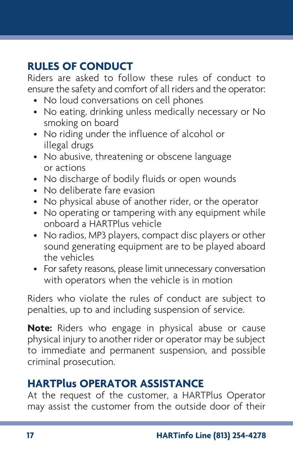# **RULES OF CONDUCT**

Riders are asked to follow these rules of conduct to ensure the safety and comfort of all riders and the operator:

- No loud conversations on cell phones
- No eating, drinking unless medically necessary or No smoking on board
- No riding under the influence of alcohol or illegal drugs
- No abusive, threatening or obscene language or actions
- No discharge of bodily fluids or open wounds
- No deliberate fare evasion
- No physical abuse of another rider, or the operator
- No operating or tampering with any equipment while onboard a HARTPlus vehicle
- No radios, MP3 players, compact disc players or other sound generating equipment are to be played aboard the vehicles
- For safety reasons, please limit unnecessary conversation with operators when the vehicle is in motion

Riders who violate the rules of conduct are subject to penalties, up to and including suspension of service.

**Note:** Riders who engage in physical abuse or cause physical injury to another rider or operator may be subject to immediate and permanent suspension, and possible criminal prosecution.

# **HARTPlus OPERATOR ASSISTANCE**

At the request of the customer, a HARTPlus Operator may assist the customer from the outside door of their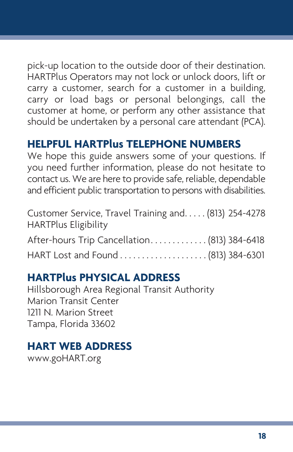pick-up location to the outside door of their destination. HARTPlus Operators may not lock or unlock doors, lift or carry a customer, search for a customer in a building, carry or load bags or personal belongings, call the customer at home, or perform any other assistance that should be undertaken by a personal care attendant (PCA).

# **HELPFUL HARTPlus TELEPHONE NUMBERS**

We hope this guide answers some of your questions. If you need further information, please do not hesitate to contact us. We are here to provide safe, reliable, dependable and efficient public transportation to persons with disabilities.

| Customer Service, Travel Training and (813) 254-4278<br><b>HARTPlus Eligibility</b> |  |
|-------------------------------------------------------------------------------------|--|
| After-hours Trip Cancellation (813) 384-6418                                        |  |
|                                                                                     |  |

# **HARTPlus PHYSICAL ADDRESS**

Hillsborough Area Regional Transit Authority Marion Transit Center 1211 N. Marion Street Tampa, Florida 33602

# **HART WEB ADDRESS**

www.goHART.org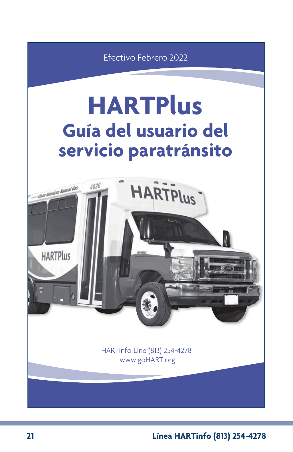Efectivo Febrero 2022

# **HARTPlus Guía del usuario del servicio paratránsito**



**21 Línea HARTinfo (813) 254-4278**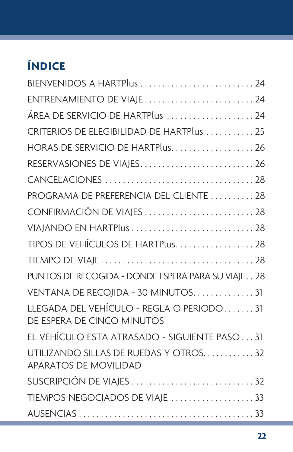# **ÍNDICE**

| BIENVENIDOS A HARTPlus  24                                             |
|------------------------------------------------------------------------|
| ENTRENAMIENTO DE VIAJE24                                               |
| ÁREA DE SERVICIO DE HARTPlus 24                                        |
| CRITERIOS DE ELEGIBILIDAD DE HARTPlus 25                               |
| HORAS DE SERVICIO DE HARTPlus26                                        |
| RESERVASIONES DE VIAJES26                                              |
|                                                                        |
| PROGRAMA DE PREFERENCIA DEL CLIENTE  28                                |
| CONFIRMACIÓN DE VIAJES 28                                              |
|                                                                        |
| TIPOS DE VEHÍCULOS DE HARTPlus28                                       |
|                                                                        |
| PUNTOS DE RECOGIDA - DONDE ESPERA PARA SU VIAJE 28                     |
| VENTANA DE RECOJIDA - 30 MINUTOS. 31                                   |
| LLEGADA DEL VEHÍCULO - REGLA O PERIODO31<br>DE ESPERA DE CINCO MINUTOS |
| EL VEHÍCULO ESTA ATRASADO - SIGUIENTE PASO31                           |
| UTILIZANDO SILLAS DE RUEDAS Y OTROS32<br><b>APARATOS DE MOVILIDAD</b>  |
| SUSCRIPCIÓN DE VIAJES 32                                               |
| TIEMPOS NEGOCIADOS DE VIAJE 33                                         |
|                                                                        |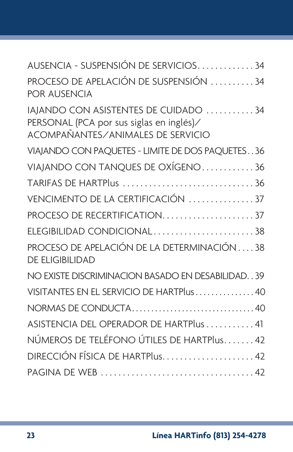| AUSENCIA - SUSPENSIÓN DE SERVICIOS34                                                                                         |
|------------------------------------------------------------------------------------------------------------------------------|
| PROCESO DE APELACIÓN DE SUSPENSIÓN 34<br>POR AUSENCIA                                                                        |
| IAJANDO CON ASISTENTES DE CUIDADO 34<br>PERSONAL (PCA por sus siglas en inglés)/<br><b>ACOMPAÑANTES/ANIMALES DE SERVICIO</b> |
| VIAJANDO CON PAQUETES - LIMITE DE DOS PAQUETES36                                                                             |
| VIAJANDO CON TANQUES DE OXÍGENO36                                                                                            |
| TARIFAS DE HARTPlus 36                                                                                                       |
| VENCIMENTO DE LA CERTIFICACIÓN 37                                                                                            |
| PROCESO DE RECERTIFICATION37                                                                                                 |
| ELEGIBILIDAD CONDICIONAL38                                                                                                   |
| PROCESO DE APELACIÓN DE LA DETERMINACIÓN 38<br><b>DE ELIGIBILIDAD</b>                                                        |
| NO EXISTE DISCRIMINACION BASADO EN DESABILIDAD. . 39                                                                         |
| VISITANTES EN EL SERVICIO DE HARTPlus40                                                                                      |
|                                                                                                                              |
| ASISTENCIA DEL OPERADOR DE HARTPlus  41                                                                                      |
| NÚMEROS DE TELÉFONO ÚTILES DE HARTPlus 42                                                                                    |
| DIRECCIÓN FÍSICA DE HARTPlus42                                                                                               |
|                                                                                                                              |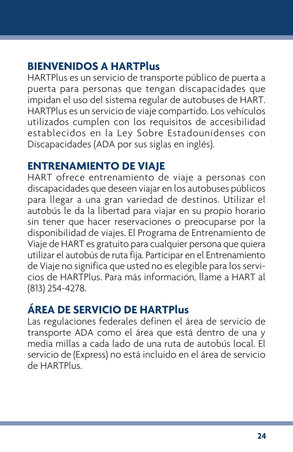# **BIENVENIDOS A HARTPlus**

HARTPlus es un servicio de transporte público de puerta a puerta para personas que tengan discapacidades que impidan el uso del sistema regular de autobuses de HART. HARTPlus es un servicio de viaje compartido. Los vehículos utilizados cumplen con los requisitos de accesibilidad establecidos en la Ley Sobre Estadounidenses con Discapacidades (ADA por sus siglas en inglés).

## **ENTRENAMIENTO DE VIAJE**

HART ofrece entrenamiento de viaje a personas con discapacidades que deseen viajar en los autobuses públicos para llegar a una gran variedad de destinos. Utilizar el autobús le da la libertad para viajar en su propio horario sin tener que hacer reservaciones o preocuparse por la disponibilidad de viajes. El Programa de Entrenamiento de Viaje de HART es gratuito para cualquier persona que quiera utilizar el autobús de ruta fija. Participar en el Entrenamiento de Viaje no significa que usted no es elegible para los servicios de HARTPlus. Para más información, llame a HART al (813) 254-4278.

# **ÁREA DE SERVICIO DE HARTPlus**

Las regulaciones federales definen el área de servicio de transporte ADA como el área que está dentro de una y media millas a cada lado de una ruta de autobús local. El servicio de (Express) no está incluido en el área de servicio de HARTPlus.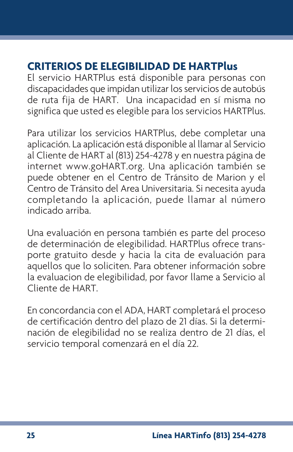# **CRITERIOS DE ELEGIBILIDAD DE HARTPlus**

El servicio HARTPlus está disponible para personas con discapacidades que impidan utilizar los servicios de autobús de ruta fija de HART. Una incapacidad en sí misma no significa que usted es elegible para los servicios HARTPlus.

Para utilizar los servicios HARTPlus, debe completar una aplicación. La aplicación está disponible al llamar al Servicio al Cliente de HART al (813) 254-4278 y en nuestra página de internet www.goHART.org. Una aplicación también se puede obtener en el Centro de Tránsito de Marion y el Centro de Tránsito del Area Universitaria. Si necesita ayuda completando la aplicación, puede llamar al número indicado arriba.

Una evaluación en persona también es parte del proceso de determinación de elegibilidad. HARTPlus ofrece transporte gratuito desde y hacia la cita de evaluación para aquellos que lo soliciten. Para obtener información sobre la evaluacion de elegibilidad, por favor llame a Servicio al Cliente de HART.

En concordancia con el ADA, HART completará el proceso de certificación dentro del plazo de 21 días. Si la determinación de elegibilidad no se realiza dentro de 21 días, el servicio temporal comenzará en el día 22.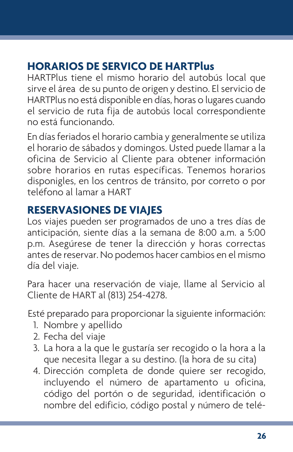# **HORARIOS DE SERVICO DE HARTPlus**

HARTPlus tiene el mismo horario del autobús local que sirve el área de su punto de origen y destino. El servicio de HARTPlus no está disponible en días, horas o lugares cuando el servicio de ruta fija de autobús local correspondiente no está funcionando.

En días feriados el horario cambia y generalmente se utiliza el horario de sábados y domingos. Usted puede llamar a la oficina de Servicio al Cliente para obtener información sobre horarios en rutas específicas. Tenemos horarios disponigles, en los centros de tránsito, por correto o por teléfono al lamar a HART

## **RESERVASIONES DE VIAJES**

Los viajes pueden ser programados de uno a tres días de anticipación, siente días a la semana de 8:00 a.m. a 5:00 p.m. Asegúrese de tener la dirección y horas correctas antes de reservar. No podemos hacer cambios en el mismo día del viaje.

Para hacer una reservación de viaje, llame al Servicio al Cliente de HART al (813) 254-4278.

Esté preparado para proporcionar la siguiente información:

- 1. Nombre y apellido
- 2. Fecha del viaje
- 3. La hora a la que le gustaría ser recogido o la hora a la que necesita llegar a su destino. (la hora de su cita)
- 4. Dirección completa de donde quiere ser recogido, incluyendo el número de apartamento u oficina, código del portón o de seguridad, identificación o nombre del edificio, código postal y número de telé-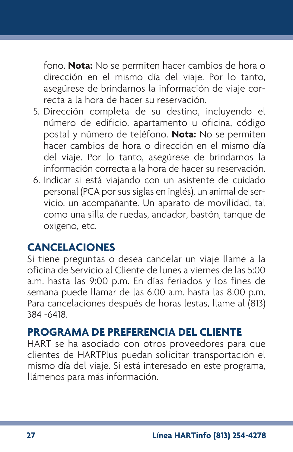fono. **Nota:** No se permiten hacer cambios de hora o dirección en el mismo día del viaje. Por lo tanto, asegúrese de brindarnos la información de viaje correcta a la hora de hacer su reservación.

- 5. Dirección completa de su destino, incluyendo el número de edificio, apartamento u oficina, código postal y número de teléfono. **Nota:** No se permiten hacer cambios de hora o dirección en el mismo día del viaje. Por lo tanto, asegúrese de brindarnos la información correcta a la hora de hacer su reservación.
- 6. Indicar si está viajando con un asistente de cuidado personal (PCA por sus siglas en inglés), un animal de servicio, un acompañante. Un aparato de movilidad, tal como una silla de ruedas, andador, bastón, tanque de oxígeno, etc.

# **CANCELACIONES**

Si tiene preguntas o desea cancelar un viaje llame a la oficina de Servicio al Cliente de lunes a viernes de las 5:00 a.m. hasta las 9:00 p.m. En días feriados y los fines de semana puede llamar de las 6:00 a.m. hasta las 8:00 p.m. Para cancelaciones después de horas lestas, llame al (813) 384 -6418.

## **PROGRAMA DE PREFERENCIA DEL CLIENTE**

HART se ha asociado con otros proveedores para que clientes de HARTPlus puedan solicitar transportación el mismo día del viaje. Si está interesado en este programa, llámenos para más información.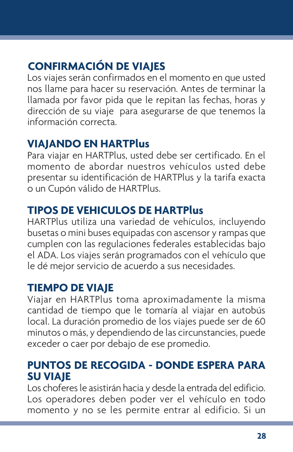# **CONFIRMACIÓN DE VIAJES**

Los viajes serán confirmados en el momento en que usted nos llame para hacer su reservación. Antes de terminar la llamada por favor pida que le repitan las fechas, horas y dirección de su viaje para asegurarse de que tenemos la información correcta.

# **VIAJANDO EN HARTPlus**

Para viajar en HARTPlus, usted debe ser certificado. En el momento de abordar nuestros vehículos usted debe presentar su identificación de HARTPlus y la tarifa exacta o un Cupón válido de HARTPlus.

# **TIPOS DE VEHICULOS DE HARTPlus**

HARTPlus utiliza una variedad de vehículos, incluyendo busetas o mini buses equipadas con ascensor y rampas que cumplen con las regulaciones federales establecidas bajo el ADA. Los viajes serán programados con el vehículo que le dé mejor servicio de acuerdo a sus necesidades.

# **TIEMPO DE VIAJE**

Viajar en HARTPlus toma aproximadamente la misma cantidad de tiempo que le tomaría al viajar en autobús local. La duración promedio de los viajes puede ser de 60 minutos o más, y dependiendo de las circunstancies, puede exceder o caer por debajo de ese promedio.

# **PUNTOS DE RECOGIDA - DONDE ESPERA PARA SU VIAJE**

Los choferes le asistirán hacia y desde la entrada del edificio. Los operadores deben poder ver el vehículo en todo momento y no se les permite entrar al edificio. Si un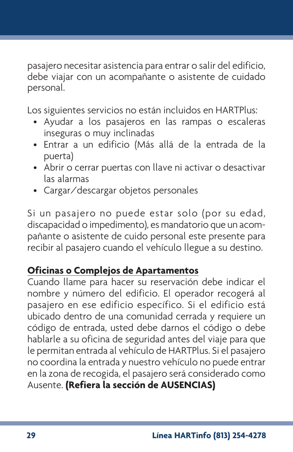pasajero necesitar asistencia para entrar o salir del edificio, debe viajar con un acompañante o asistente de cuidado personal.

Los siguientes servicios no están incluidos en HARTPlus:

- Ayudar a los pasajeros en las rampas o escaleras inseguras o muy inclinadas
- Entrar a un edificio (Más allá de la entrada de la puerta)
- Abrir o cerrar puertas con llave ni activar o desactivar las alarmas
- Cargar/descargar objetos personales

Si un pasajero no puede estar solo (por su edad, discapacidad o impedimento), es mandatorio que un acompañante o asistente de cuido personal este presente para recibir al pasajero cuando el vehículo llegue a su destino.

## **Oficinas o Complejos de Apartamentos**

Cuando llame para hacer su reservación debe indicar el nombre y número del edificio. El operador recogerá al pasajero en ese edificio específico. Si el edificio está ubicado dentro de una comunidad cerrada y requiere un código de entrada, usted debe darnos el código o debe hablarle a su oficina de seguridad antes del viaje para que le permitan entrada al vehículo de HARTPlus. Si el pasajero no coordina la entrada y nuestro vehículo no puede entrar en la zona de recogida, el pasajero será considerado como Ausente. **(Refiera la sección de AUSENCIAS)**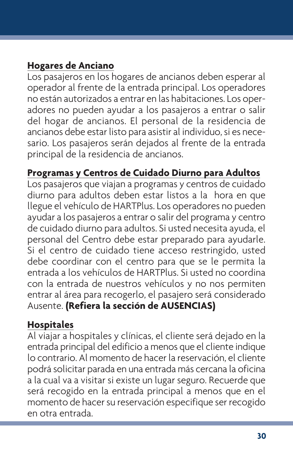## **Hogares de Anciano**

Los pasajeros en los hogares de ancianos deben esperar al operador al frente de la entrada principal. Los operadores no están autorizados a entrar en las habitaciones. Los operadores no pueden ayudar a los pasajeros a entrar o salir del hogar de ancianos. El personal de la residencia de ancianos debe estar listo para asistir al individuo, si es necesario. Los pasajeros serán dejados al frente de la entrada principal de la residencia de ancianos.

#### **Programas y Centros de Cuidado Diurno para Adultos**

Los pasajeros que viajan a programas y centros de cuidado diurno para adultos deben estar listos a la hora en que llegue el vehículo de HARTPlus. Los operadores no pueden ayudar a los pasajeros a entrar o salir del programa y centro de cuidado diurno para adultos. Si usted necesita ayuda, el personal del Centro debe estar preparado para ayudarle. Si el centro de cuidado tiene acceso restringido, usted debe coordinar con el centro para que se le permita la entrada a los vehículos de HARTPlus. Si usted no coordina con la entrada de nuestros vehículos y no nos permiten entrar al área para recogerlo, el pasajero será considerado Ausente. **(Refiera la sección de AUSENCIAS)**

#### **Hospitales**

Al viajar a hospitales y clínicas, el cliente será dejado en la entrada principal del edificio a menos que el cliente indique lo contrario. Al momento de hacer la reservación, el cliente podrá solicitar parada en una entrada más cercana la oficina a la cual va a visitar si existe un lugar seguro. Recuerde que será recogido en la entrada principal a menos que en el momento de hacer su reservación especifique ser recogido en otra entrada.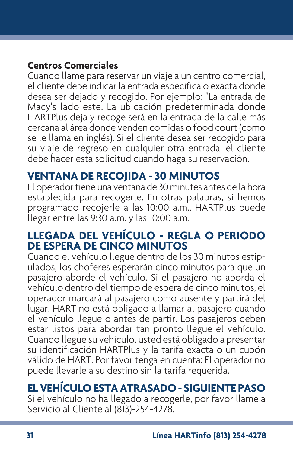## **Centros Comerciales**

Cuando llame para reservar un viaje a un centro comercial, el cliente debe indicar la entrada especifica o exacta donde desea ser dejado y recogido. Por ejemplo: "La entrada de Macy's lado este. La ubicación predeterminada donde HARTPlus deja y recoge será en la entrada de la calle más cercana al área donde venden comidas o food court (como se le llama en inglés). Si el cliente desea ser recogido para su viaje de regreso en cualquier otra entrada, el cliente debe hacer esta solicitud cuando haga su reservación.

#### **VENTANA DE RECOJIDA - 30 MINUTOS**

El operador tiene una ventana de 30 minutes antes de la hora establecida para recogerle. En otras palabras, si hemos programado recojerle a las 10:00 a.m., HARTPlus puede llegar entre las 9:30 a.m. y las 10:00 a.m.

#### **LLEGADA DEL VEHÍCULO - REGLA O PERIODO DE ESPERA DE CINCO MINUTOS**

Cuando el vehículo llegue dentro de los 30 minutos estipulados, los choferes esperarán cinco minutos para que un pasajero aborde el vehículo. Si el pasajero no aborda el vehículo dentro del tiempo de espera de cinco minutos, el operador marcará al pasajero como ausente y partirá del lugar. HART no está obligado a llamar al pasajero cuando el vehículo llegue o antes de partir. Los pasajeros deben estar listos para abordar tan pronto llegue el vehículo. Cuando llegue su vehículo, usted está obligado a presentar su identificación HARTPlus y la tarifa exacta o un cupón válido de HART. Por favor tenga en cuenta: El operador no puede llevarle a su destino sin la tarifa requerida.

# **EL VEHÍCULO ESTA ATRASADO - SIGUIENTE PASO**

Si el vehículo no ha llegado a recogerle, por favor llame a Servicio al Cliente al (813)-254-4278.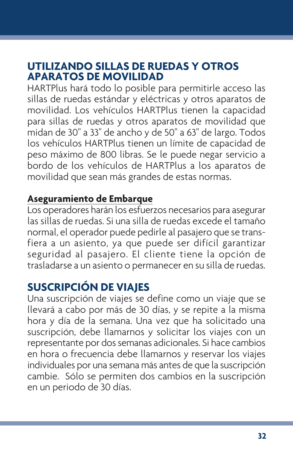## **UTILIZANDO SILLAS DE RUEDAS Y OTROS APARATOS DE MOVILIDAD**

HARTPlus hará todo lo posible para permitirle acceso las sillas de ruedas estándar y eléctricas y otros aparatos de movilidad. Los vehículos HARTPlus tienen la capacidad para sillas de ruedas y otros aparatos de movilidad que midan de 30" a 33" de ancho y de 50" a 63" de largo. Todos los vehículos HARTPlus tienen un límite de capacidad de peso máximo de 800 libras. Se le puede negar servicio a bordo de los vehículos de HARTPlus a los aparatos de movilidad que sean más grandes de estas normas.

#### **Aseguramiento de Embarque**

Los operadores harán los esfuerzos necesarios para asegurar las sillas de ruedas. Si una silla de ruedas excede el tamaño normal, el operador puede pedirle al pasajero que se transfiera a un asiento, ya que puede ser difícil garantizar seguridad al pasajero. El cliente tiene la opción de trasladarse a un asiento o permanecer en su silla de ruedas.

# **SUSCRIPCIÓN DE VIAJES**

Una suscripción de viajes se define como un viaje que se llevará a cabo por más de 30 días, y se repite a la misma hora y día de la semana. Una vez que ha solicitado una suscripción, debe llamarnos y solicitar los viajes con un representante por dos semanas adicionales. Si hace cambios en hora o frecuencia debe llamarnos y reservar los viajes individuales por una semana más antes de que la suscripción cambie. Sólo se permiten dos cambios en la suscripción en un periodo de 30 días.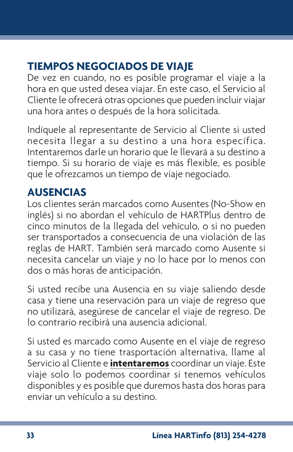# **TIEMPOS NEGOCIADOS DE VIAJE**

De vez en cuando, no es posible programar el viaje a la hora en que usted desea viajar. En este caso, el Servicio al Cliente le ofrecerá otras opciones que pueden incluir viajar una hora antes o después de la hora solicitada.

Indíquele al representante de Servicio al Cliente si usted necesita llegar a su destino a una hora específica. Intentaremos darle un horario que le llevará a su destino a tiempo. Si su horario de viaje es más flexible, es posible que le ofrezcamos un tiempo de viaje negociado.

# **AUSENCIAS**

Los clientes serán marcados como Ausentes (No-Show en inglés) si no abordan el vehículo de HARTPlus dentro de cinco minutos de la llegada del vehículo, o si no pueden ser transportados a consecuencia de una violación de las reglas de HART. También será marcado como Ausente si necesita cancelar un viaje y no lo hace por lo menos con dos o más horas de anticipación.

Si usted recibe una Ausencia en su viaje saliendo desde casa y tiene una reservación para un viaje de regreso que no utilizará, asegúrese de cancelar el viaje de regreso. De lo contrario recibirá una ausencia adicional.

Si usted es marcado como Ausente en el viaje de regreso a su casa y no tiene trasportación alternativa, llame al Servicio al Cliente e **intentaremos** coordinar un viaje. Este viaje solo lo podemos coordinar si tenemos vehículos disponibles y es posible que duremos hasta dos horas para enviar un vehículo a su destino.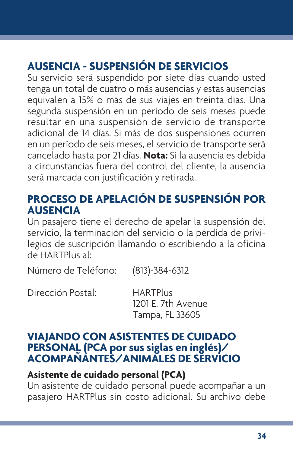# **AUSENCIA - SUSPENSIÓN DE SERVICIOS**

Su servicio será suspendido por siete días cuando usted tenga un total de cuatro o más ausencias y estas ausencias equivalen a 15% o más de sus viajes en treinta días. Una segunda suspensión en un período de seis meses puede resultar en una suspensión de servicio de transporte adicional de 14 días. Si más de dos suspensiones ocurren en un período de seis meses, el servicio de transporte será cancelado hasta por 21 días. **Nota:** Si la ausencia es debida a circunstancias fuera del control del cliente, la ausencia será marcada con justificación y retirada.

# **PROCESO DE APELACIÓN DE SUSPENSIÓN POR AUSENCIA**

Un pasajero tiene el derecho de apelar la suspensión del servicio, la terminación del servicio o la pérdida de privilegios de suscripción llamando o escribiendo a la oficina de HARTPlus al:

Número de Teléfono: (813)-384-6312

Dirección Postal: HARTPlus

1201 E. 7th Avenue Tampa, FL 33605

#### **VIAJANDO CON ASISTENTES DE CUIDADO PERSONAL (PCA por sus siglas en inglés)/ ACOMPAÑANTES/ANIMALES DE SERVICIO**

## **Asistente de cuidado personal (PCA)**

Un asistente de cuidado personal puede acompañar a un pasajero HARTPlus sin costo adicional. Su archivo debe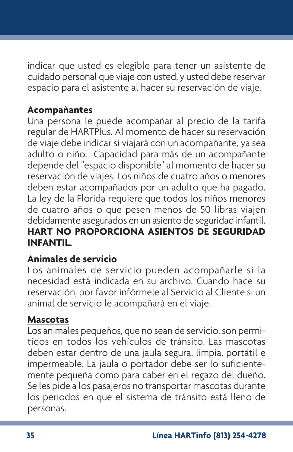indicar que usted es elegible para tener un asistente de cuidado personal que viaje con usted, y usted debe reservar espacio para el asistente al hacer su reservación de viaje.

## **Acompañantes**

Una persona le puede acompañar al precio de la tarifa regular de HARTPlus. Al momento de hacer su reservación de viaje debe indicar si viajará con un acompañante, ya sea adulto o niño. Capacidad para más de un acompañante depende del "espacio disponible" al momento de hacer su reservación de viajes. Los niños de cuatro años o menores deben estar acompañados por un adulto que ha pagado. La ley de la Florida requiere que todos los niños menores de cuatro años o que pesen menos de 50 libras viajen debidamente asegurados en un asiento de seguridad infantil. **HART NO PROPORCIONA ASIENTOS DE SEGURIDAD INFANTIL.**

## **Animales de servicio**

Los animales de servicio pueden acompañarle si la necesidad está indicada en su archivo. Cuando hace su reservación, por favor infórmele al Servicio al Cliente si un animal de servicio le acompañará en el viaje.

#### **Mascotas**

Los animales pequeños, que no sean de servicio, son permitidos en todos los vehículos de tránsito. Las mascotas deben estar dentro de una jaula segura, limpia, portátil e impermeable. La jaula o portador debe ser lo suficientemente pequeña como para caber en el regazo del dueño. Se les pide a los pasajeros no transportar mascotas durante los periodos en que el sistema de tránsito está lleno de personas.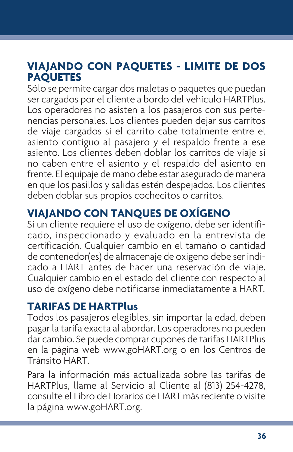# **VIAJANDO CON PAQUETES - LIMITE DE DOS PAQUETES**

Sólo se permite cargar dos maletas o paquetes que puedan ser cargados por el cliente a bordo del vehículo HARTPlus. Los operadores no asisten a los pasajeros con sus pertenencias personales. Los clientes pueden dejar sus carritos de viaje cargados si el carrito cabe totalmente entre el asiento contiguo al pasajero y el respaldo frente a ese asiento. Los clientes deben doblar los carritos de viaje si no caben entre el asiento y el respaldo del asiento en frente. El equipaje de mano debe estar asegurado de manera en que los pasillos y salidas estén despejados. Los clientes deben doblar sus propios cochecitos o carritos.

# **VIAJANDO CON TANQUES DE OXÍGENO**

Si un cliente requiere el uso de oxígeno, debe ser identificado, inspeccionado y evaluado en la entrevista de certificación. Cualquier cambio en el tamaño o cantidad de contenedor(es) de almacenaje de oxígeno debe ser indicado a HART antes de hacer una reservación de viaje. Cualquier cambio en el estado del cliente con respecto al uso de oxígeno debe notificarse inmediatamente a HART.

## **TARIFAS DE HARTPlus**

Todos los pasajeros elegibles, sin importar la edad, deben pagar la tarifa exacta al abordar. Los operadores no pueden dar cambio. Se puede comprar cupones de tarifas HARTPlus en la página web www.goHART.org o en los Centros de Tránsito HART.

Para la información más actualizada sobre las tarifas de HARTPlus, llame al Servicio al Cliente al (813) 254-4278, consulte el Libro de Horarios de HART más reciente o visite la página www.goHART.org.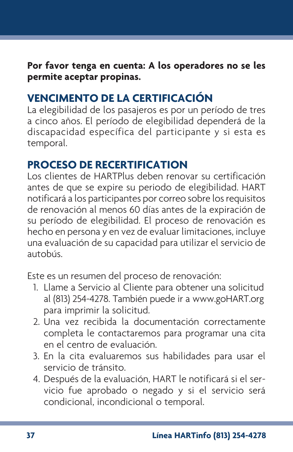**Por favor tenga en cuenta: A los operadores no se les permite aceptar propinas.**

# **VENCIMENTO DE LA CERTIFICACIÓN**

La elegibilidad de los pasajeros es por un período de tres a cinco años. El período de elegibilidad dependerá de la discapacidad específica del participante y si esta es temporal.

# **PROCESO DE RECERTIFICATION**

Los clientes de HARTPlus deben renovar su certificación antes de que se expire su periodo de elegibilidad. HART notificará a los participantes por correo sobre los requisitos de renovación al menos 60 días antes de la expiración de su período de elegibilidad. El proceso de renovación es hecho en persona y en vez de evaluar limitaciones, incluye una evaluación de su capacidad para utilizar el servicio de autobús.

Este es un resumen del proceso de renovación:

- 1. Llame a Servicio al Cliente para obtener una solicitud al (813) 254-4278. También puede ir a www.goHART.org para imprimir la solicitud.
- 2. Una vez recibida la documentación correctamente completa le contactaremos para programar una cita en el centro de evaluación.
- 3. En la cita evaluaremos sus habilidades para usar el servicio de tránsito.
- 4. Después de la evaluación, HART le notificará si el servicio fue aprobado o negado y si el servicio será condicional, incondicional o temporal.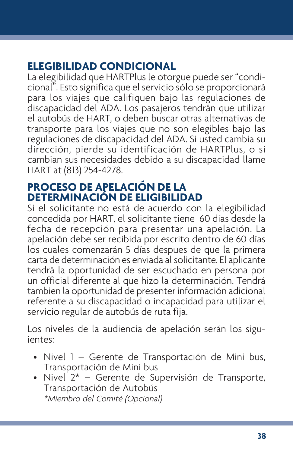# **ELEGIBILIDAD CONDICIONAL**

La elegibilidad que HARTPlus le otorgue puede ser "condicional". Esto significa que el servicio sólo se proporcionará para los viajes que califiquen bajo las regulaciones de discapacidad del ADA. Los pasajeros tendrán que utilizar el autobús de HART, o deben buscar otras alternativas de transporte para los viajes que no son elegibles bajo las regulaciones de discapacidad del ADA. Si usted cambia su dirección, pierde su identificación de HARTPlus, o si cambian sus necesidades debido a su discapacidad llame HART at (813) 254-4278.

# **PROCESO DE APELACIÓN DE LA DETERMINACIÓN DE ELIGIBILIDAD**

Si el solicitante no está de acuerdo con la elegibilidad concedida por HART, el solicitante tiene 60 días desde la fecha de recepción para presentar una apelación. La apelación debe ser recibida por escrito dentro de 60 días los cuales comenzarán 5 días despues de que la primera carta de determinación es enviada al solicitante. El aplicante tendrá la oportunidad de ser escuchado en persona por un official diferente al que hizo la determinación. Tendrá tambien la oportunidad de presenter información adicional referente a su discapacidad o incapacidad para utilizar el servicio regular de autobús de ruta fija.

Los niveles de la audiencia de apelación serán los siguientes:

- Nivel 1 Gerente de Transportación de Mini bus, Transportación de Mini bus
- $\bullet$  Nivel 2\* Gerente de Supervisión de Transporte, Transportación de Autobús \*Miembro del Comité (Opcional)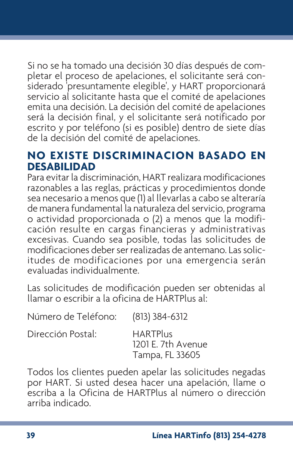Si no se ha tomado una decisión 30 días después de completar el proceso de apelaciones, el solicitante será considerado 'presuntamente elegible', y HART proporcionará servicio al solicitante hasta que el comité de apelaciones emita una decisión. La decisión del comité de apelaciones será la decisión final, y el solicitante será notificado por escrito y por teléfono (si es posible) dentro de siete días de la decisión del comité de apelaciones.

#### **NO EXISTE DISCRIMINACION BASADO EN DESABILIDAD**

Para evitar la discriminación, HART realizara modificaciones razonables a las reglas, prácticas y procedimientos donde sea necesario a menos que (1) al llevarlas a cabo se alteraría de manera fundamental la naturaleza del servicio, programa o actividad proporcionada o (2) a menos que la modificación resulte en cargas financieras y administrativas excesivas. Cuando sea posible, todas las solicitudes de modificaciones deber ser realizadas de antemano. Las solicitudes de modificaciones por una emergencia serán evaluadas individualmente.

Las solicitudes de modificación pueden ser obtenidas al llamar o escribir a la oficina de HARTPlus al:

| NUMBRO GE TELETONO: (615) 584-6512 |                                                          |
|------------------------------------|----------------------------------------------------------|
| Dirección Postal:                  | <b>HARTPlus</b><br>1201 E. 7th Avenue<br>Tampa, FL 33605 |
|                                    |                                                          |

Número de Teléfono: (813) 384-6312

Todos los clientes pueden apelar las solicitudes negadas por HART. Si usted desea hacer una apelación, llame o escriba a la Oficina de HARTPlus al número o dirección arriba indicado.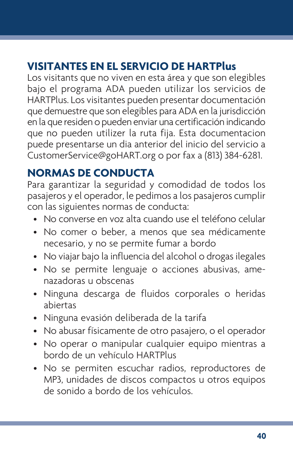# **VISITANTES EN EL SERVICIO DE HARTPlus**

Los visitants que no viven en esta área y que son elegibles bajo el programa ADA pueden utilizar los servicios de HARTPlus. Los visitantes pueden presentar documentación que demuestre que son elegibles para ADA en la jurisdicción en la que residen o pueden enviar una certificación indicando que no pueden utilizer la ruta fija. Esta documentacion puede presentarse un dia anterior del inicio del servicio a CustomerService@goHART.org o por fax a (813) 384-6281.

# **NORMAS DE CONDUCTA**

Para garantizar la seguridad y comodidad de todos los pasajeros y el operador, le pedimos a los pasajeros cumplir con las siguientes normas de conducta:

- No converse en voz alta cuando use el teléfono celular
- No comer o beber, a menos que sea médicamente necesario, y no se permite fumar a bordo
- No viajar bajo la influencia del alcohol o drogas ilegales
- No se permite lenguaje o acciones abusivas, amenazadoras u obscenas
- Ninguna descarga de fluidos corporales o heridas abiertas
- Ninguna evasión deliberada de la tarifa
- No abusar físicamente de otro pasajero, o el operador
- No operar o manipular cualquier equipo mientras a bordo de un vehículo HARTPlus
- No se permiten escuchar radios, reproductores de MP3, unidades de discos compactos u otros equipos de sonido a bordo de los vehículos.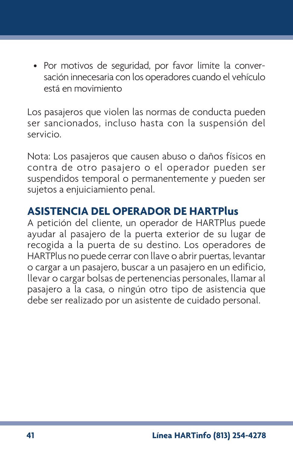• Por motivos de seguridad, por favor limite la conversación innecesaria con los operadores cuando el vehículo está en movimiento

Los pasajeros que violen las normas de conducta pueden ser sancionados, incluso hasta con la suspensión del servicio.

Nota: Los pasajeros que causen abuso o daños físicos en contra de otro pasajero o el operador pueden ser suspendidos temporal o permanentemente y pueden ser sujetos a enjuiciamiento penal.

# **ASISTENCIA DEL OPERADOR DE HARTPlus**

A petición del cliente, un operador de HARTPlus puede ayudar al pasajero de la puerta exterior de su lugar de recogida a la puerta de su destino. Los operadores de HARTPlus no puede cerrar con llave o abrir puertas, levantar o cargar a un pasajero, buscar a un pasajero en un edificio, llevar o cargar bolsas de pertenencias personales, llamar al pasajero a la casa, o ningún otro tipo de asistencia que debe ser realizado por un asistente de cuidado personal.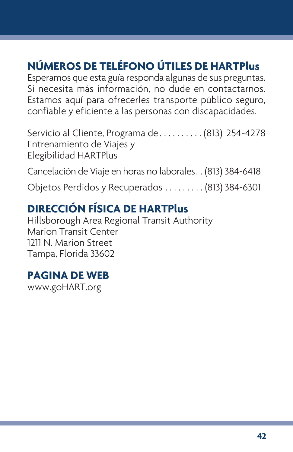# **NÚMEROS DE TELÉFONO ÚTILES DE HARTPlus**

Esperamos que esta guía responda algunas de sus preguntas. Si necesita más información, no dude en contactarnos. Estamos aquí para ofrecerles transporte público seguro, confiable y eficiente a las personas con discapacidades.

Servicio al Cliente, Programa de . . . . . . . . . . (813) 254-4278 Entrenamiento de Viajes y Elegibilidad HARTPlus

Cancelación de Viaje en horas no laborales. . (813) 384-6418

Objetos Perdidos y Recuperados . . . . . . . . . (813) 384-6301

# **DIRECCIÓN FÍSICA DE HARTPlus**

Hillsborough Area Regional Transit Authority Marion Transit Center 1211 N. Marion Street Tampa, Florida 33602

## **PAGINA DE WEB**

www.goHART.org